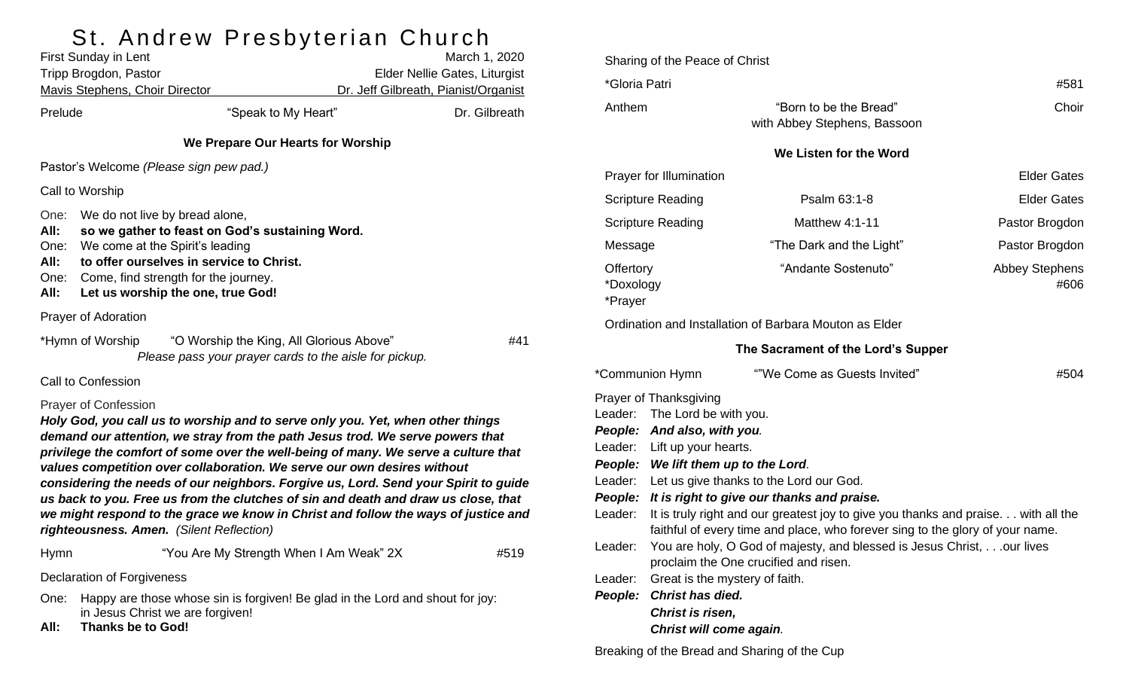## St. Andrew Presbyterian Church

|                                              | First Sunday in Lent<br>Tripp Brogdon, Pastor<br><b>Mavis Stephens, Choir Director</b>                                                                                                                                                        |                                                                                                                                                                                                                                                                                                                                                                                                                                                                                                                                                                                                                                                 | March 1, 2020<br>Elder Nellie Gates, Liturgist<br>Dr. Jeff Gilbreath, Pianist/Organist |               |  |  |
|----------------------------------------------|-----------------------------------------------------------------------------------------------------------------------------------------------------------------------------------------------------------------------------------------------|-------------------------------------------------------------------------------------------------------------------------------------------------------------------------------------------------------------------------------------------------------------------------------------------------------------------------------------------------------------------------------------------------------------------------------------------------------------------------------------------------------------------------------------------------------------------------------------------------------------------------------------------------|----------------------------------------------------------------------------------------|---------------|--|--|
| Prelude                                      |                                                                                                                                                                                                                                               | "Speak to My Heart"                                                                                                                                                                                                                                                                                                                                                                                                                                                                                                                                                                                                                             |                                                                                        | Dr. Gilbreath |  |  |
|                                              |                                                                                                                                                                                                                                               | We Prepare Our Hearts for Worship                                                                                                                                                                                                                                                                                                                                                                                                                                                                                                                                                                                                               |                                                                                        |               |  |  |
|                                              |                                                                                                                                                                                                                                               | Pastor's Welcome (Please sign pew pad.)                                                                                                                                                                                                                                                                                                                                                                                                                                                                                                                                                                                                         |                                                                                        |               |  |  |
|                                              | Call to Worship                                                                                                                                                                                                                               |                                                                                                                                                                                                                                                                                                                                                                                                                                                                                                                                                                                                                                                 |                                                                                        |               |  |  |
| One:<br>All:<br>One:<br>All:<br>One:<br>All: | We do not live by bread alone,<br>so we gather to feast on God's sustaining Word.<br>We come at the Spirit's leading<br>to offer ourselves in service to Christ.<br>Come, find strength for the journey.<br>Let us worship the one, true God! |                                                                                                                                                                                                                                                                                                                                                                                                                                                                                                                                                                                                                                                 |                                                                                        |               |  |  |
|                                              | Prayer of Adoration                                                                                                                                                                                                                           |                                                                                                                                                                                                                                                                                                                                                                                                                                                                                                                                                                                                                                                 |                                                                                        |               |  |  |
|                                              | *Hymn of Worship                                                                                                                                                                                                                              | "O Worship the King, All Glorious Above"<br>Please pass your prayer cards to the aisle for pickup.                                                                                                                                                                                                                                                                                                                                                                                                                                                                                                                                              |                                                                                        | #41           |  |  |
|                                              | <b>Call to Confession</b>                                                                                                                                                                                                                     |                                                                                                                                                                                                                                                                                                                                                                                                                                                                                                                                                                                                                                                 |                                                                                        |               |  |  |
|                                              | <b>Prayer of Confession</b>                                                                                                                                                                                                                   | Holy God, you call us to worship and to serve only you. Yet, when other things<br>demand our attention, we stray from the path Jesus trod. We serve powers that<br>privilege the comfort of some over the well-being of many. We serve a culture that<br>values competition over collaboration. We serve our own desires without<br>considering the needs of our neighbors. Forgive us, Lord. Send your Spirit to guide<br>us back to you. Free us from the clutches of sin and death and draw us close, that<br>we might respond to the grace we know in Christ and follow the ways of justice and<br>righteousness. Amen. (Silent Reflection) |                                                                                        |               |  |  |
| Hymn                                         |                                                                                                                                                                                                                                               | "You Are My Strength When I Am Weak" 2X                                                                                                                                                                                                                                                                                                                                                                                                                                                                                                                                                                                                         |                                                                                        | #519          |  |  |
|                                              | <b>Declaration of Forgiveness</b>                                                                                                                                                                                                             |                                                                                                                                                                                                                                                                                                                                                                                                                                                                                                                                                                                                                                                 |                                                                                        |               |  |  |
| One:                                         |                                                                                                                                                                                                                                               | Happy are those whose sin is forgiven! Be glad in the Lord and shout for joy:                                                                                                                                                                                                                                                                                                                                                                                                                                                                                                                                                                   |                                                                                        |               |  |  |

- in Jesus Christ we are forgiven!
- **All: Thanks be to God!**

|                                                                                                                                                                   | Sharing of the Peace of Christ                                                                                                                                      |                                                        |                               |  |  |  |  |
|-------------------------------------------------------------------------------------------------------------------------------------------------------------------|---------------------------------------------------------------------------------------------------------------------------------------------------------------------|--------------------------------------------------------|-------------------------------|--|--|--|--|
| *Gloria Patri                                                                                                                                                     |                                                                                                                                                                     |                                                        | #581                          |  |  |  |  |
| Anthem                                                                                                                                                            |                                                                                                                                                                     | "Born to be the Bread"<br>with Abbey Stephens, Bassoon | Choir                         |  |  |  |  |
| We Listen for the Word                                                                                                                                            |                                                                                                                                                                     |                                                        |                               |  |  |  |  |
|                                                                                                                                                                   | Prayer for Illumination                                                                                                                                             |                                                        | <b>Elder Gates</b>            |  |  |  |  |
| <b>Scripture Reading</b>                                                                                                                                          |                                                                                                                                                                     | Psalm 63:1-8                                           | <b>Elder Gates</b>            |  |  |  |  |
| <b>Scripture Reading</b>                                                                                                                                          |                                                                                                                                                                     | <b>Matthew 4:1-11</b>                                  | Pastor Brogdon                |  |  |  |  |
| Message                                                                                                                                                           |                                                                                                                                                                     | "The Dark and the Light"                               | Pastor Brogdon                |  |  |  |  |
| Offertory<br>*Doxology<br>*Prayer                                                                                                                                 |                                                                                                                                                                     | "Andante Sostenuto"                                    | <b>Abbey Stephens</b><br>#606 |  |  |  |  |
|                                                                                                                                                                   |                                                                                                                                                                     | Ordination and Installation of Barbara Mouton as Elder |                               |  |  |  |  |
|                                                                                                                                                                   |                                                                                                                                                                     | The Sacrament of the Lord's Supper                     |                               |  |  |  |  |
| *Communion Hymn                                                                                                                                                   |                                                                                                                                                                     | ""We Come as Guests Invited"                           | #504                          |  |  |  |  |
| Prayer of Thanksgiving<br>Leader:<br>The Lord be with you.<br>People: And also, with you.<br>Leader: Lift up your hearts.<br>People: We lift them up to the Lord. |                                                                                                                                                                     |                                                        |                               |  |  |  |  |
|                                                                                                                                                                   | Leader: Let us give thanks to the Lord our God.                                                                                                                     |                                                        |                               |  |  |  |  |
|                                                                                                                                                                   | People: It is right to give our thanks and praise.                                                                                                                  |                                                        |                               |  |  |  |  |
| Leader:                                                                                                                                                           | It is truly right and our greatest joy to give you thanks and praise. with all the<br>faithful of every time and place, who forever sing to the glory of your name. |                                                        |                               |  |  |  |  |
| Leader:                                                                                                                                                           | You are holy, O God of majesty, and blessed is Jesus Christ, our lives<br>proclaim the One crucified and risen.                                                     |                                                        |                               |  |  |  |  |
| Leader:                                                                                                                                                           | Great is the mystery of faith.                                                                                                                                      |                                                        |                               |  |  |  |  |
| People:                                                                                                                                                           | Christ has died.                                                                                                                                                    |                                                        |                               |  |  |  |  |
|                                                                                                                                                                   | Christ is risen,                                                                                                                                                    |                                                        |                               |  |  |  |  |
|                                                                                                                                                                   | Christ will come again.                                                                                                                                             |                                                        |                               |  |  |  |  |

Breaking of the Bread and Sharing of the Cup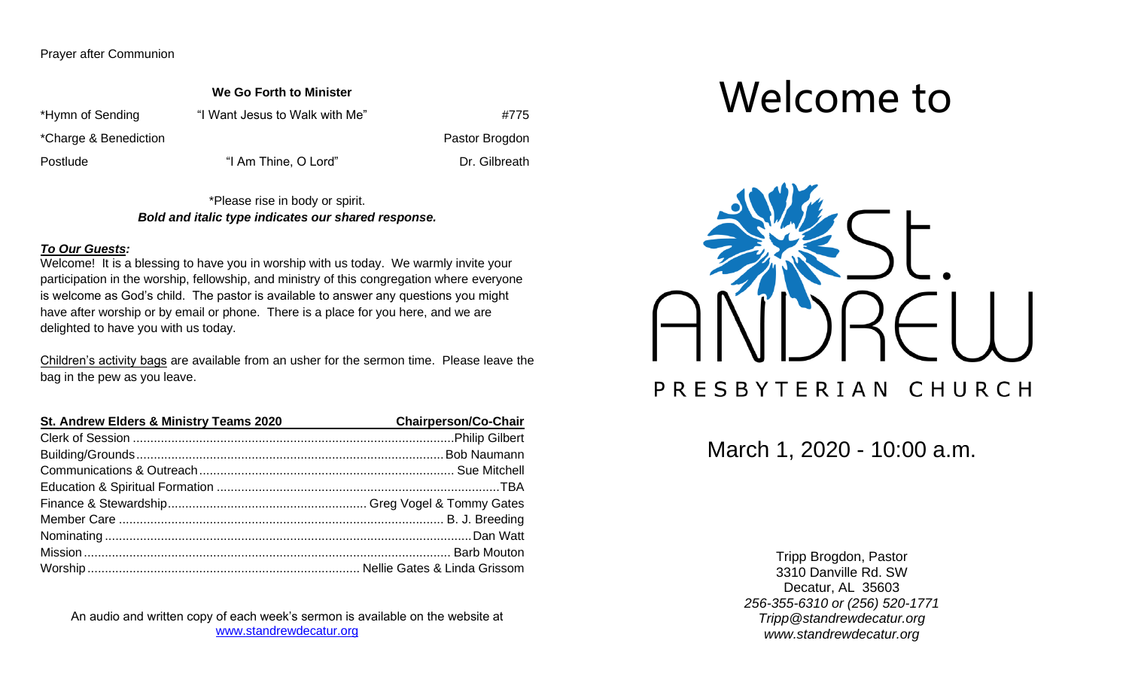Prayer after Communion

**We Go Forth to Minister**

\*Hymn of Sending "I Want Jesus to Walk with Me"  $\#775$ 

\*Charge & Benediction **Pastor Brogdon Pastor Brogdon** 

Postlude "I Am Thine, O Lord" Dr. Gilbreath

\*Please rise in body or spirit. *Bold and italic type indicates our shared response.*

#### *To Our Guests:*

Welcome! It is a blessing to have you in worship with us today. We warmly invite your participation in the worship, fellowship, and ministry of this congregation where everyone is welcome as God's child. The pastor is available to answer any questions you might have after worship or by email or phone. There is a place for you here, and we are delighted to have you with us today.

Children's activity bags are available from an usher for the sermon time. Please leave the bag in the pew as you leave.

| St. Andrew Elders & Ministry Teams 2020 | <b>Chairperson/Co-Chair</b> |
|-----------------------------------------|-----------------------------|
|                                         |                             |
|                                         |                             |
|                                         |                             |
|                                         |                             |
|                                         |                             |
|                                         |                             |
|                                         |                             |
|                                         |                             |
|                                         |                             |

An audio and written copy of each week's sermon is available on the website at [www.standrewdecatur.org](http://www.standrewdecatur.org/)

# Welcome to



March 1, 2020 - 10:00 a.m.

Tripp Brogdon, Pastor 3310 Danville Rd. SW Decatur, AL 35603 *256-355-6310 or (256) 520-1771 Tripp@standrewdecatur.org www.standrewdecatur.org*